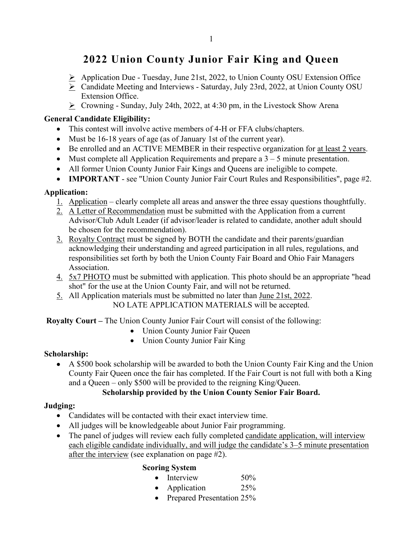### **2022 Union County Junior Fair King and Queen**

- $\triangleright$  Application Due Tuesday, June 21st, 2022, to Union County OSU Extension Office
- Candidate Meeting and Interviews Saturday, July 23rd, 2022, at Union County OSU Extension Office.
- $\triangleright$  Crowning Sunday, July 24th, 2022, at 4:30 pm, in the Livestock Show Arena

#### **General Candidate Eligibility:**

- This contest will involve active members of 4-H or FFA clubs/chapters.
- Must be 16-18 years of age (as of January 1st of the current year).
- Be enrolled and an ACTIVE MEMBER in their respective organization for at least 2 years.
- Must complete all Application Requirements and prepare a  $3 5$  minute presentation.
- All former Union County Junior Fair Kings and Queens are ineligible to compete.
- **IMPORTANT** see "Union County Junior Fair Court Rules and Responsibilities", page #2.

#### **Application:**

- 1. Application clearly complete all areas and answer the three essay questions thoughtfully.
- 2. A Letter of Recommendation must be submitted with the Application from a current Advisor/Club Adult Leader (if advisor/leader is related to candidate, another adult should be chosen for the recommendation).
- 3. Royalty Contract must be signed by BOTH the candidate and their parents/guardian acknowledging their understanding and agreed participation in all rules, regulations, and responsibilities set forth by both the Union County Fair Board and Ohio Fair Managers Association.
- 4. 5x7 PHOTO must be submitted with application. This photo should be an appropriate "head shot" for the use at the Union County Fair, and will not be returned.
- 5. All Application materials must be submitted no later than June 21st, 2022.

NO LATE APPLICATION MATERIALS will be accepted.

**Royalty Court –** The Union County Junior Fair Court will consist of the following:

- Union County Junior Fair Queen
- Union County Junior Fair King

#### **Scholarship:**

• A \$500 book scholarship will be awarded to both the Union County Fair King and the Union County Fair Queen once the fair has completed. If the Fair Court is not full with both a King and a Queen – only \$500 will be provided to the reigning King/Queen.

#### **Scholarship provided by the Union County Senior Fair Board.**

#### **Judging:**

- Candidates will be contacted with their exact interview time.
- All judges will be knowledgeable about Junior Fair programming.
- The panel of judges will review each fully completed candidate application, will interview each eligible candidate individually, and will judge the candidate's 3–5 minute presentation after the interview (see explanation on page #2).

#### **Scoring System**

- Interview 50%
- Application 25%
- Prepared Presentation 25%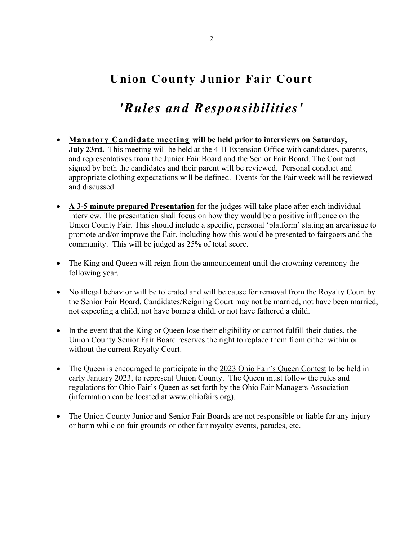# **Union County Junior Fair Court**

# *'Rules and Responsibilities'*

- **Manatory Candidate meeting will be held prior to interviews on Saturday, July 23rd.** This meeting will be held at the 4-H Extension Office with candidates, parents, and representatives from the Junior Fair Board and the Senior Fair Board. The Contract signed by both the candidates and their parent will be reviewed. Personal conduct and appropriate clothing expectations will be defined. Events for the Fair week will be reviewed and discussed.
- **A 3-5 minute prepared Presentation** for the judges will take place after each individual interview. The presentation shall focus on how they would be a positive influence on the Union County Fair. This should include a specific, personal 'platform' stating an area/issue to promote and/or improve the Fair, including how this would be presented to fairgoers and the community. This will be judged as 25% of total score.
- The King and Queen will reign from the announcement until the crowning ceremony the following year.
- No illegal behavior will be tolerated and will be cause for removal from the Royalty Court by the Senior Fair Board. Candidates/Reigning Court may not be married, not have been married, not expecting a child, not have borne a child, or not have fathered a child.
- In the event that the King or Queen lose their eligibility or cannot fulfill their duties, the Union County Senior Fair Board reserves the right to replace them from either within or without the current Royalty Court.
- The Queen is encouraged to participate in the 2023 Ohio Fair's Queen Contest to be held in early January 2023, to represent Union County. The Queen must follow the rules and regulations for Ohio Fair's Queen as set forth by the Ohio Fair Managers Association (information can be located at www.ohiofairs.org).
- The Union County Junior and Senior Fair Boards are not responsible or liable for any injury or harm while on fair grounds or other fair royalty events, parades, etc.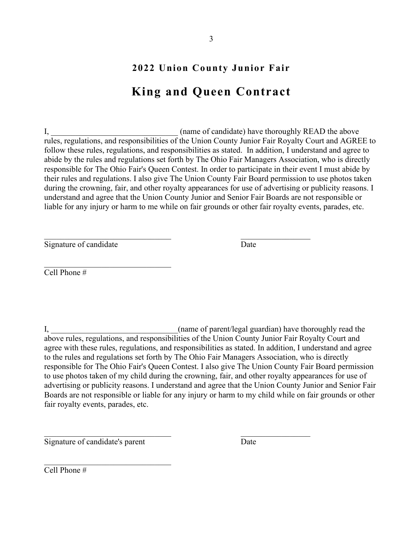### **2022 Union County Junior Fair**

# **King and Queen Contract**

I, the interest of candidate) have thoroughly READ the above rules, regulations, and responsibilities of the Union County Junior Fair Royalty Court and AGREE to follow these rules, regulations, and responsibilities as stated. In addition, I understand and agree to abide by the rules and regulations set forth by The Ohio Fair Managers Association, who is directly responsible for The Ohio Fair's Queen Contest. In order to participate in their event I must abide by their rules and regulations. I also give The Union County Fair Board permission to use photos taken during the crowning, fair, and other royalty appearances for use of advertising or publicity reasons. I understand and agree that the Union County Junior and Senior Fair Boards are not responsible or liable for any injury or harm to me while on fair grounds or other fair royalty events, parades, etc.

Signature of candidate Date

Cell Phone #

I, \_\_\_\_\_\_\_\_\_\_\_\_\_\_\_\_\_\_\_\_\_\_\_\_\_\_\_\_\_\_\_(name of parent/legal guardian) have thoroughly read the above rules, regulations, and responsibilities of the Union County Junior Fair Royalty Court and agree with these rules, regulations, and responsibilities as stated. In addition, I understand and agree to the rules and regulations set forth by The Ohio Fair Managers Association, who is directly responsible for The Ohio Fair's Queen Contest. I also give The Union County Fair Board permission to use photos taken of my child during the crowning, fair, and other royalty appearances for use of advertising or publicity reasons. I understand and agree that the Union County Junior and Senior Fair Boards are not responsible or liable for any injury or harm to my child while on fair grounds or other fair royalty events, parades, etc.

 $\overline{\phantom{a}}$  , and the contribution of the contribution of  $\overline{\phantom{a}}$  , and the contribution of  $\overline{\phantom{a}}$ 

Signature of candidate's parent Date

 $\overline{\phantom{a}}$ 

 $\overline{\text{Cell Phone}}$ #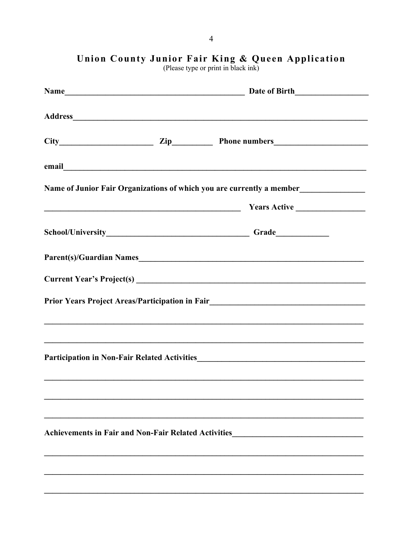|  | Name of Junior Fair Organizations of which you are currently a member____________                                                                                                                                                   |
|--|-------------------------------------------------------------------------------------------------------------------------------------------------------------------------------------------------------------------------------------|
|  | <u>Nears Active Communications</u> Communications and Team and Team and Team and Team and Team and Team and Team and Team and Team and Team and Team and Team and Team and Team and Team and Team and Team and Team and Team and Te |
|  | School/University___________________________________Grade_______________________                                                                                                                                                    |
|  |                                                                                                                                                                                                                                     |
|  |                                                                                                                                                                                                                                     |
|  | Prior Years Project Areas/Participation in Fair_________________________________                                                                                                                                                    |
|  |                                                                                                                                                                                                                                     |
|  | ,我们也不会有什么。""我们的人,我们也不会有什么?""我们的人,我们也不会有什么?""我们的人,我们也不会有什么?""我们的人,我们也不会有什么?""我们的人                                                                                                                                                    |
|  |                                                                                                                                                                                                                                     |
|  |                                                                                                                                                                                                                                     |
|  |                                                                                                                                                                                                                                     |
|  | Achievements in Fair and Non-Fair Related Activities____________________________                                                                                                                                                    |
|  |                                                                                                                                                                                                                                     |
|  |                                                                                                                                                                                                                                     |
|  |                                                                                                                                                                                                                                     |

Union County Junior Fair King & Queen Application<br>(Please type or print in black ink)